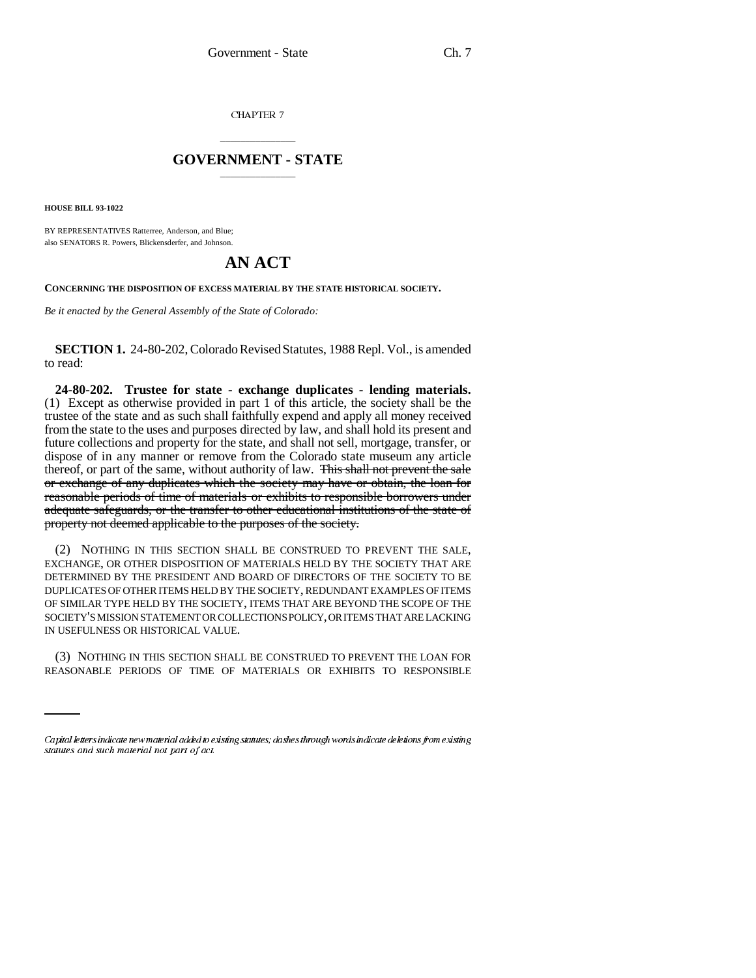CHAPTER 7

## \_\_\_\_\_\_\_\_\_\_\_\_\_\_\_ **GOVERNMENT - STATE** \_\_\_\_\_\_\_\_\_\_\_\_\_\_\_

**HOUSE BILL 93-1022**

BY REPRESENTATIVES Ratterree, Anderson, and Blue; also SENATORS R. Powers, Blickensderfer, and Johnson.

## **AN ACT**

**CONCERNING THE DISPOSITION OF EXCESS MATERIAL BY THE STATE HISTORICAL SOCIETY.**

*Be it enacted by the General Assembly of the State of Colorado:*

**SECTION 1.** 24-80-202, Colorado Revised Statutes, 1988 Repl. Vol., is amended to read:

**24-80-202. Trustee for state - exchange duplicates - lending materials.** (1) Except as otherwise provided in part 1 of this article, the society shall be the trustee of the state and as such shall faithfully expend and apply all money received from the state to the uses and purposes directed by law, and shall hold its present and future collections and property for the state, and shall not sell, mortgage, transfer, or dispose of in any manner or remove from the Colorado state museum any article thereof, or part of the same, without authority of law. This shall not prevent the sale or exchange of any duplicates which the society may have or obtain, the loan for reasonable periods of time of materials or exhibits to responsible borrowers under adequate safeguards, or the transfer to other educational institutions of the state of property not deemed applicable to the purposes of the society.

(2) NOTHING IN THIS SECTION SHALL BE CONSTRUED TO PREVENT THE SALE, EXCHANGE, OR OTHER DISPOSITION OF MATERIALS HELD BY THE SOCIETY THAT ARE DETERMINED BY THE PRESIDENT AND BOARD OF DIRECTORS OF THE SOCIETY TO BE DUPLICATES OF OTHER ITEMS HELD BY THE SOCIETY, REDUNDANT EXAMPLES OF ITEMS OF SIMILAR TYPE HELD BY THE SOCIETY, ITEMS THAT ARE BEYOND THE SCOPE OF THE SOCIETY'S MISSION STATEMENT OR COLLECTIONS POLICY, OR ITEMS THAT ARE LACKING IN USEFULNESS OR HISTORICAL VALUE.

(3) NOTHING IN THIS SECTION SHALL BE CONSTRUED TO PREVENT THE LOAN FOR REASONABLE PERIODS OF TIME OF MATERIALS OR EXHIBITS TO RESPONSIBLE

<sup>—————&</sup>lt;br>Capital letters indicate new material added to existing statutes; dashes through words indicate deletions from existing statutes and such material not part of act.